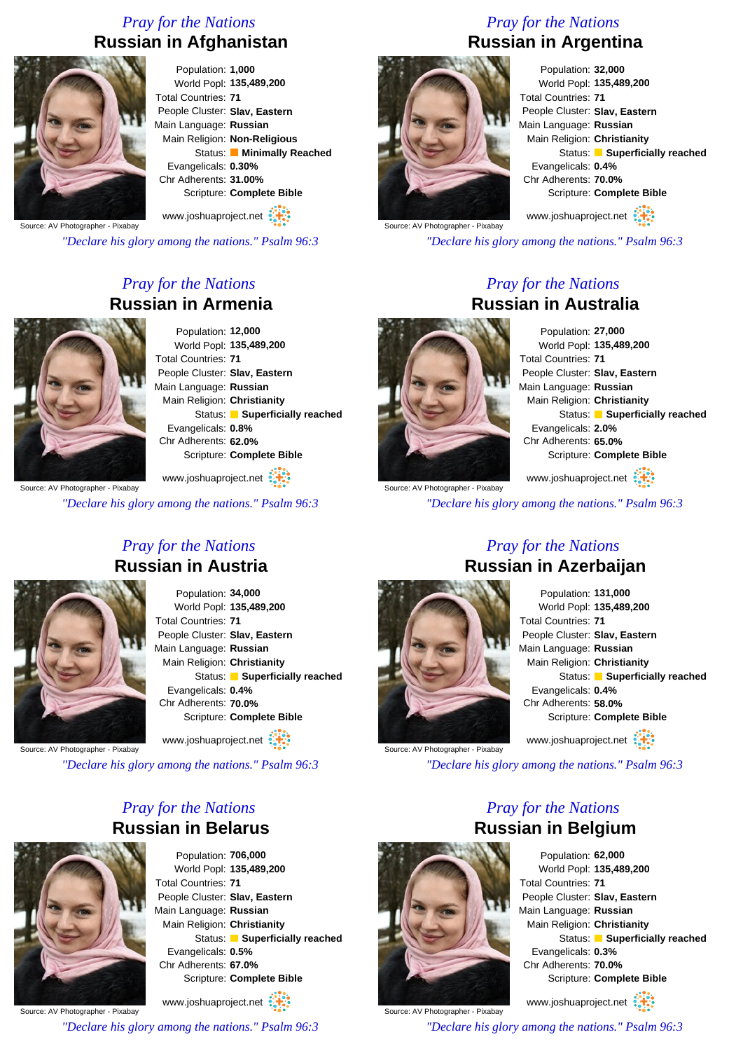#### *Pray for the Nations* **Russian in Afghanistan**



Population: **1,000** World Popl: **135,489,200** Total Countries: **71** People Cluster: **Slav, Eastern** Main Language: **Russian** Main Religion: **Non-Religious** Status: **Minimally Reached** Evangelicals: **0.30%** Chr Adherents: **31.00%** Scripture: **Complete Bible**

Source: AV Photographer - Pixabay www.joshuaproject.net

*"Declare his glory among the nations." Psalm 96:3*

#### *Pray for the Nations* **Russian in Armenia**



Population: **12,000** World Popl: **135,489,200** Total Countries: **71** People Cluster: **Slav, Eastern** Main Language: **Russian** Main Religion: **Christianity** Status: **Superficially reached** Evangelicals: **0.8%** Chr Adherents: **62.0%** Scripture: **Complete Bible**

www.joshuaproject.net

*"Declare his glory among the nations." Psalm 96:3*

### *Pray for the Nations* **Russian in Argentina**



Population: **32,000** World Popl: **135,489,200** Total Countries: **71** People Cluster: **Slav, Eastern** Main Language: **Russian** Main Religion: **Christianity** Status: **Superficially reached** Evangelicals: **0.4%** Chr Adherents: **70.0%** Scripture: **Complete Bible**

www.joshuaproject.net

*"Declare his glory among the nations." Psalm 96:3*

*Pray for the Nations*

# **Russian in Australia**

Population: **27,000** World Popl: **135,489,200** Total Countries: **71** People Cluster: **Slav, Eastern** Main Language: **Russian** Main Religion: **Christianity** Status: **Superficially reached** Evangelicals: **2.0%** Chr Adherents: **65.0%** Scripture: **Complete Bible**

Source: AV Photographer - Pixabay www.joshuaproject.net

*"Declare his glory among the nations." Psalm 96:3*

*Pray for the Nations*

*Pray for the Nations* **Russian in Austria**

> Population: **34,000** World Popl: **135,489,200** Total Countries: **71** People Cluster: **Slav, Eastern** Main Language: **Russian** Main Religion: **Christianity** Status: **Superficially reached** Evangelicals: **0.4%** Chr Adherents: **70.0%** Scripture: **Complete Bible** www.joshuaproject.net

Source: AV Photographer - Pixabay

*"Declare his glory among the nations." Psalm 96:3*

#### *Pray for the Nations* **Russian in Belarus**



Population: **706,000** World Popl: **135,489,200** Total Countries: **71** People Cluster: **Slav, Eastern** Main Language: **Russian** Main Religion: **Christianity** Status: **Superficially reached** Evangelicals: **0.5%** Chr Adherents: **67.0%** Scripture: **Complete Bible**

Source: AV Photographer - Pixabay www.joshuaproject.net

*"Declare his glory among the nations." Psalm 96:3*

Source: AV Photographer - Pixabay

#### Population: **131,000** World Popl: **135,489,200** Total Countries: **71** People Cluster: **Slav, Eastern** Main Language: **Russian** Main Religion: **Christianity** Status: **Superficially reached** Evangelicals: **0.4%** Chr Adherents: **58.0%** Scripture: **Complete Bible** www.joshuaproject.net

*"Declare his glory among the nations." Psalm 96:3*

*Pray for the Nations*

Source: AV Photographer - Pixabay

**Russian in Belgium** Population: **62,000** World Popl: **135,489,200** Total Countries: **71**

People Cluster: **Slav, Eastern** Main Language: **Russian** Main Religion: **Christianity** Status: **Superficially reached** Evangelicals: **0.3%** Chr Adherents: **70.0%** Scripture: **Complete Bible**

www.joshuaproject.net

*"Declare his glory among the nations." Psalm 96:3*

**Russian in Azerbaijan**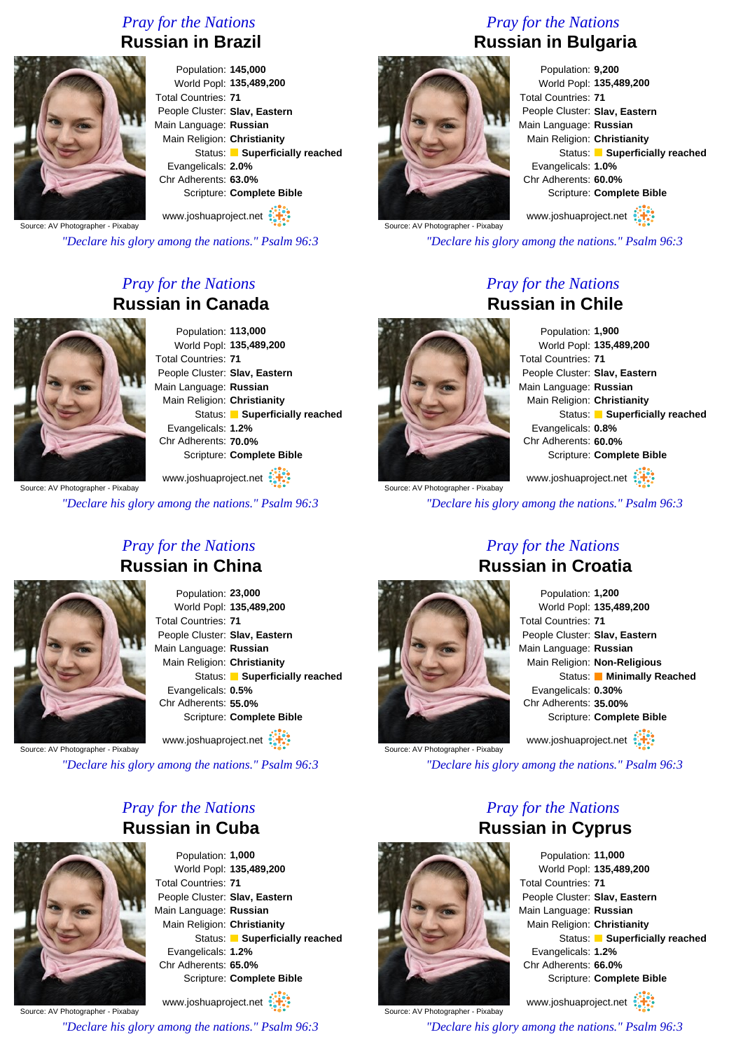#### *Pray for the Nations* **Russian in Brazil**



Population: **145,000** World Popl: **135,489,200** Total Countries: **71** People Cluster: **Slav, Eastern** Main Language: **Russian** Main Religion: **Christianity** Status: **Superficially reached** Evangelicals: **2.0%** Chr Adherents: **63.0%** Scripture: **Complete Bible**

Source: AV Photographer - Pixabay www.joshuaproject.net

*"Declare his glory among the nations." Psalm 96:3*

#### *Pray for the Nations* **Russian in Canada**



Population: **113,000** World Popl: **135,489,200** Total Countries: **71** People Cluster: **Slav, Eastern** Main Language: **Russian** Main Religion: **Christianity** Status: **Superficially reached** Evangelicals: **1.2%** Chr Adherents: **70.0%** Scripture: **Complete Bible**

Source: AV Photographer - Pixabay www.joshuaproject.net

*"Declare his glory among the nations." Psalm 96:3*

### *Pray for the Nations* **Russian in Bulgaria**



Population: **9,200** World Popl: **135,489,200** Total Countries: **71** People Cluster: **Slav, Eastern** Main Language: **Russian** Main Religion: **Christianity** Status: **Superficially reached** Evangelicals: **1.0%** Chr Adherents: **60.0%** Scripture: **Complete Bible** www.joshuaproject.net

Source: AV Photographer - Pixabay

*"Declare his glory among the nations." Psalm 96:3*

*Pray for the Nations*

# **Russian in Chile**

Population: **1,900** World Popl: **135,489,200** Total Countries: **71** People Cluster: **Slav, Eastern** Main Language: **Russian** Main Religion: **Christianity** Status: **Superficially reached** Evangelicals: **0.8%** Chr Adherents: **60.0%** Scripture: **Complete Bible** www.joshuaproject.net

Source: AV Photographer - Pixabay

*"Declare his glory among the nations." Psalm 96:3*

*Pray for the Nations* **Russian in China**

> Population: **23,000** World Popl: **135,489,200** Total Countries: **71** People Cluster: **Slav, Eastern** Main Language: **Russian** Main Religion: **Christianity** Status: **Superficially reached** Evangelicals: **0.5%** Chr Adherents: **55.0%** Scripture: **Complete Bible** www.joshuaproject.net

Source: AV Photographer - Pixabay

*"Declare his glory among the nations." Psalm 96:3*

#### *Pray for the Nations* **Russian in Cuba**



Population: **1,000** World Popl: **135,489,200** Total Countries: **71** People Cluster: **Slav, Eastern** Main Language: **Russian** Main Religion: **Christianity** Status: **Superficially reached** Evangelicals: **1.2%** Chr Adherents: **65.0%** Scripture: **Complete Bible** www.joshuaproject.net

Source: AV Photographer - Pixabay

*"Declare his glory among the nations." Psalm 96:3*

#### *Pray for the Nations* **Russian in Croatia**



Population: **1,200** World Popl: **135,489,200** Total Countries: **71** People Cluster: **Slav, Eastern** Main Language: **Russian** Main Religion: **Non-Religious** Status: **Minimally Reached** Evangelicals: **0.30%** Chr Adherents: **35.00%** Scripture: **Complete Bible** www.joshuaproject.net

*"Declare his glory among the nations." Psalm 96:3*



*Pray for the Nations* **Russian in Cyprus**

Population: **11,000** World Popl: **135,489,200** Total Countries: **71** People Cluster: **Slav, Eastern** Main Language: **Russian** Main Religion: **Christianity** Status: **Superficially reached** Evangelicals: **1.2%** Chr Adherents: **66.0%** Scripture: **Complete Bible** www.joshuaproject.net

Source: AV Photographer - Pixabay *"Declare his glory among the nations." Psalm 96:3*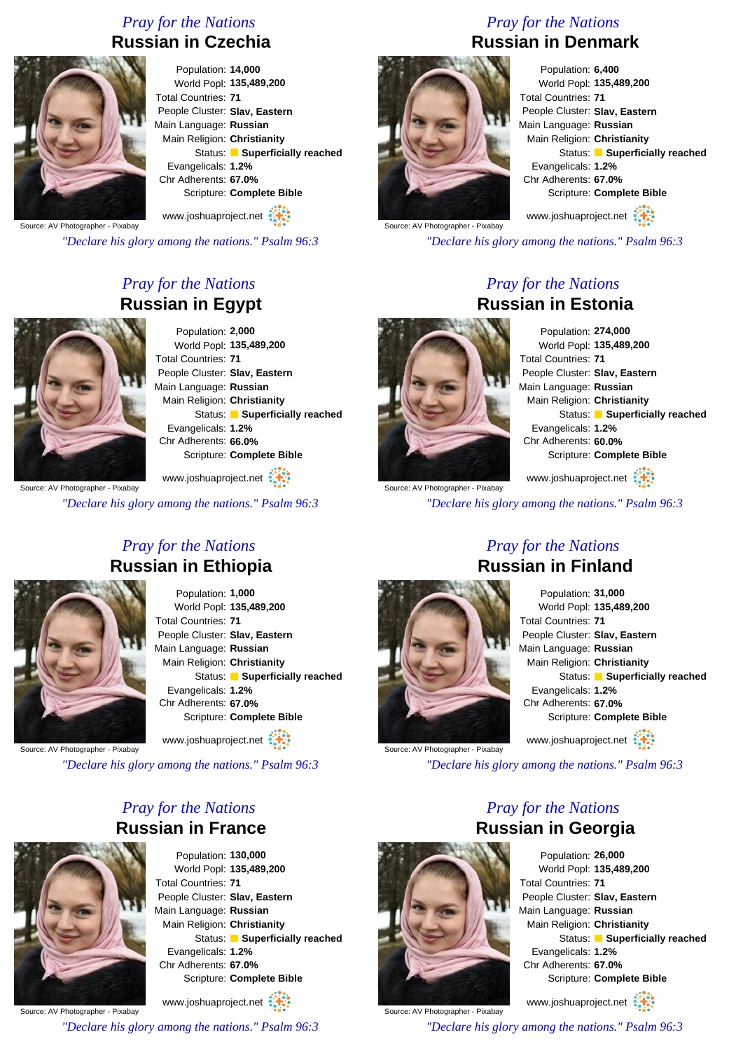#### *Pray for the Nations* **Russian in Czechia**



Population: **14,000** World Popl: **135,489,200** Total Countries: **71** People Cluster: **Slav, Eastern** Main Language: **Russian** Main Religion: **Christianity** Status: **Superficially reached** Evangelicals: **1.2%** Chr Adherents: **67.0%** Scripture: **Complete Bible** www.joshuaproject.net

Source: AV Photographer - Pixabay

*"Declare his glory among the nations." Psalm 96:3*

#### *Pray for the Nations* **Russian in Egypt**



Population: **2,000** World Popl: **135,489,200** Total Countries: **71** People Cluster: **Slav, Eastern** Main Language: **Russian** Main Religion: **Christianity** Status: **Superficially reached** Evangelicals: **1.2%** Chr Adherents: **66.0%** Scripture: **Complete Bible**

Source: AV Photographer - Pixabay www.joshuaproject.net

*"Declare his glory among the nations." Psalm 96:3*

### *Pray for the Nations* **Russian in Denmark**



Source: AV Photographer - Pixabay

Population: **6,400** World Popl: **135,489,200** Total Countries: **71** People Cluster: **Slav, Eastern** Main Language: **Russian** Main Religion: **Christianity** Status: **Superficially reached** Evangelicals: **1.2%** Chr Adherents: **67.0%** Scripture: **Complete Bible** www.joshuaproject.net

*"Declare his glory among the nations." Psalm 96:3*

#### *Pray for the Nations* **Russian in Estonia**

Population: **274,000** World Popl: **135,489,200** Total Countries: **71** People Cluster: **Slav, Eastern** Main Language: **Russian** Main Religion: **Christianity** Status: **Superficially reached** Evangelicals: **1.2%** Chr Adherents: **60.0%** Scripture: **Complete Bible** www.joshuaproject.net

Source: AV Photographer - Pixabay

*"Declare his glory among the nations." Psalm 96:3*

*Pray for the Nations*

*Pray for the Nations* **Russian in Ethiopia**

> Population: **1,000** World Popl: **135,489,200** Total Countries: **71** People Cluster: **Slav, Eastern** Main Language: **Russian** Main Religion: **Christianity** Status: **Superficially reached** Evangelicals: **1.2%** Chr Adherents: **67.0%** Scripture: **Complete Bible** www.joshuaproject.net

Source: AV Photographer - Pixabay

*"Declare his glory among the nations." Psalm 96:3*

#### *Pray for the Nations* **Russian in France**



Population: **130,000** World Popl: **135,489,200** Total Countries: **71** People Cluster: **Slav, Eastern** Main Language: **Russian** Main Religion: **Christianity** Status: **Superficially reached** Evangelicals: **1.2%** Chr Adherents: **67.0%** Scripture: **Complete Bible**

Source: AV Photographer - Pixabay www.joshuaproject.net

*"Declare his glory among the nations." Psalm 96:3*

## **Russian in Finland**

Source: AV Photographer - Pixabay

#### Population: **31,000** World Popl: **135,489,200** Total Countries: **71** People Cluster: **Slav, Eastern** Main Language: **Russian** Main Religion: **Christianity** Status: **Superficially reached** Evangelicals: **1.2%** Chr Adherents: **67.0%** Scripture: **Complete Bible** www.joshuaproject.net

*"Declare his glory among the nations." Psalm 96:3*

*Pray for the Nations*



Source: AV Photographer - Pixabay

Population: **26,000** World Popl: **135,489,200** Total Countries: **71** People Cluster: **Slav, Eastern** Main Language: **Russian** Main Religion: **Christianity** Status: **Superficially reached** Evangelicals: **1.2%** Chr Adherents: **67.0%** Scripture: **Complete Bible** www.joshuaproject.net

*"Declare his glory among the nations." Psalm 96:3*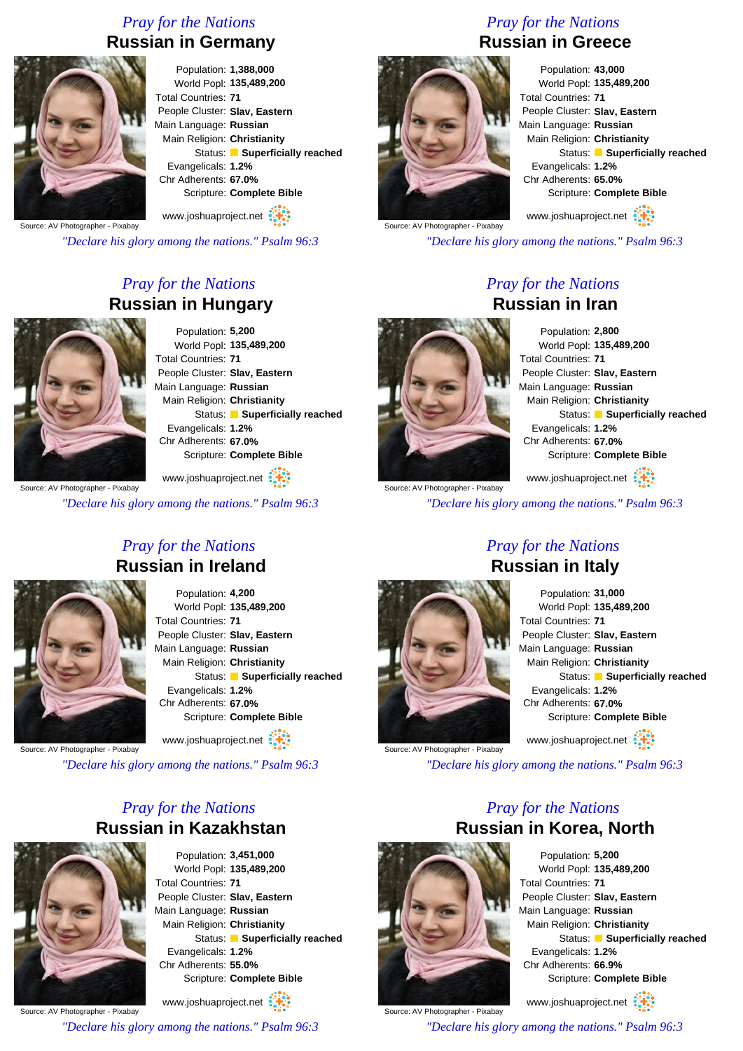#### *Pray for the Nations* **Russian in Germany**



Population: **1,388,000** World Popl: **135,489,200** Total Countries: **71** People Cluster: **Slav, Eastern** Main Language: **Russian** Main Religion: **Christianity** Status: **Superficially reached** Evangelicals: **1.2%** Chr Adherents: **67.0%** Scripture: **Complete Bible**

Source: AV Photographer - Pixabay www.joshuaproject.net

*"Declare his glory among the nations." Psalm 96:3*

#### *Pray for the Nations* **Russian in Hungary**



Population: **5,200** World Popl: **135,489,200** Total Countries: **71** People Cluster: **Slav, Eastern** Main Language: **Russian** Main Religion: **Christianity** Status: **Superficially reached** Evangelicals: **1.2%** Chr Adherents: **67.0%** Scripture: **Complete Bible**

Source: AV Photographer - Pixabay www.joshuaproject.net

*"Declare his glory among the nations." Psalm 96:3*

#### *Pray for the Nations* **Russian in Greece**



Source: AV Photographer - Pixabay

*"Declare his glory among the nations." Psalm 96:3*

*Pray for the Nations*

# **Russian in Iran**

Population: **2,800** World Popl: **135,489,200** Total Countries: **71** People Cluster: **Slav, Eastern** Main Language: **Russian** Main Religion: **Christianity** Status: **Superficially reached** Evangelicals: **1.2%** Chr Adherents: **67.0%** Scripture: **Complete Bible** www.joshuaproject.net

Source: AV Photographer - Pixabay

*"Declare his glory among the nations." Psalm 96:3*

*Pray for the Nations*

*Pray for the Nations* **Russian in Ireland**

> Population: **4,200** World Popl: **135,489,200** Total Countries: **71** People Cluster: **Slav, Eastern** Main Language: **Russian** Main Religion: **Christianity** Status: **Superficially reached** Evangelicals: **1.2%** Chr Adherents: **67.0%** Scripture: **Complete Bible** www.joshuaproject.net

Source: AV Photographer - Pixabay

*"Declare his glory among the nations." Psalm 96:3*

#### *Pray for the Nations* **Russian in Kazakhstan**



Population: **3,451,000** World Popl: **135,489,200** Total Countries: **71** People Cluster: **Slav, Eastern** Main Language: **Russian** Main Religion: **Christianity** Status: **Superficially reached** Evangelicals: **1.2%** Chr Adherents: **55.0%** Scripture: **Complete Bible**

Source: AV Photographer - Pixabay www.joshuaproject.net

*"Declare his glory among the nations." Psalm 96:3*

### **Russian in Italy** Population: **31,000** World Popl: **135,489,200**

Total Countries: **71** People Cluster: **Slav, Eastern** Main Language: **Russian** Main Religion: **Christianity** Status: **Superficially reached** Evangelicals: **1.2%** Chr Adherents: **67.0%** Scripture: **Complete Bible** www.joshuaproject.net

*"Declare his glory among the nations." Psalm 96:3*

*Pray for the Nations*



Source: AV Photographer - Pixabay

**Russian in Korea, North** Population: **5,200** World Popl: **135,489,200** Total Countries: **71** People Cluster: **Slav, Eastern** Main Language: **Russian** Main Religion: **Christianity** Status: **Superficially reached** Evangelicals: **1.2%** Chr Adherents: **66.9%** Scripture: **Complete Bible** www.joshuaproject.net

Source: AV Photographer - Pixabay *"Declare his glory among the nations." Psalm 96:3*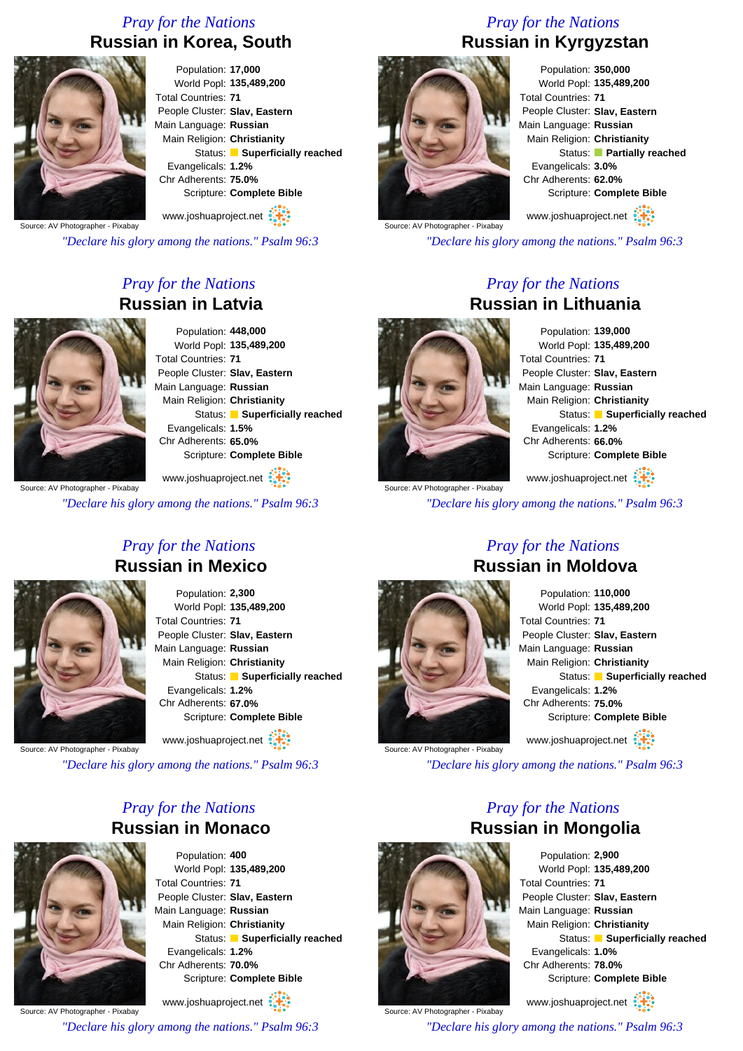#### *Pray for the Nations* **Russian in Korea, South**



Population: **17,000** World Popl: **135,489,200** Total Countries: **71** People Cluster: **Slav, Eastern** Main Language: **Russian** Main Religion: **Christianity** Status: **Superficially reached** Evangelicals: **1.2%** Chr Adherents: **75.0%** Scripture: **Complete Bible**

Source: AV Photographer - Pixabay www.joshuaproject.net

*"Declare his glory among the nations." Psalm 96:3*

#### *Pray for the Nations* **Russian in Latvia**



Population: **448,000** World Popl: **135,489,200** Total Countries: **71** People Cluster: **Slav, Eastern** Main Language: **Russian** Main Religion: **Christianity** Status: **Superficially reached** Evangelicals: **1.5%** Chr Adherents: **65.0%** Scripture: **Complete Bible**

Source: AV Photographer - Pixabay www.joshuaproject.net

*"Declare his glory among the nations." Psalm 96:3*

### *Pray for the Nations* **Russian in Kyrgyzstan**



Population: **350,000** World Popl: **135,489,200** Total Countries: **71** People Cluster: **Slav, Eastern** Main Language: **Russian** Main Religion: **Christianity** Status: **Partially reached** Evangelicals: **3.0%** Chr Adherents: **62.0%** Scripture: **Complete Bible**

www.joshuaproject.net

*"Declare his glory among the nations." Psalm 96:3*

*Pray for the Nations*

# **Russian in Lithuania**

Population: **139,000** World Popl: **135,489,200** Total Countries: **71** People Cluster: **Slav, Eastern** Main Language: **Russian** Main Religion: **Christianity** Status: **Superficially reached** Evangelicals: **1.2%** Chr Adherents: **66.0%** Scripture: **Complete Bible** www.joshuaproject.net

Source: AV Photographer - Pixabay

*"Declare his glory among the nations." Psalm 96:3*

*Pray for the Nations* **Russian in Mexico**

> Population: **2,300** World Popl: **135,489,200** Total Countries: **71** People Cluster: **Slav, Eastern** Main Language: **Russian** Main Religion: **Christianity** Status: **Superficially reached** Evangelicals: **1.2%** Chr Adherents: **67.0%** Scripture: **Complete Bible** www.joshuaproject.net

Source: AV Photographer - Pixabay

*"Declare his glory among the nations." Psalm 96:3*

#### *Pray for the Nations* **Russian in Monaco**



Population: **400** World Popl: **135,489,200** Total Countries: **71** People Cluster: **Slav, Eastern** Main Language: **Russian** Main Religion: **Christianity** Status: **Superficially reached** Evangelicals: **1.2%** Chr Adherents: **70.0%** Scripture: **Complete Bible**

Source: AV Photographer - Pixabay www.joshuaproject.net

*"Declare his glory among the nations." Psalm 96:3*

### *Pray for the Nations* **Russian in Moldova**



Population: **110,000** World Popl: **135,489,200** Total Countries: **71** People Cluster: **Slav, Eastern** Main Language: **Russian** Main Religion: **Christianity** Status: **Superficially reached** Evangelicals: **1.2%** Chr Adherents: **75.0%** Scripture: **Complete Bible** www.joshuaproject.net

*"Declare his glory among the nations." Psalm 96:3*

*Pray for the Nations*



Source: AV Photographer - Pixabay

Population: **2,900** World Popl: **135,489,200** Total Countries: **71** People Cluster: **Slav, Eastern** Main Language: **Russian** Main Religion: **Christianity** Status: **Superficially reached** Evangelicals: **1.0%** Chr Adherents: **78.0%** Scripture: **Complete Bible**

www.joshuaproject.net

*"Declare his glory among the nations." Psalm 96:3*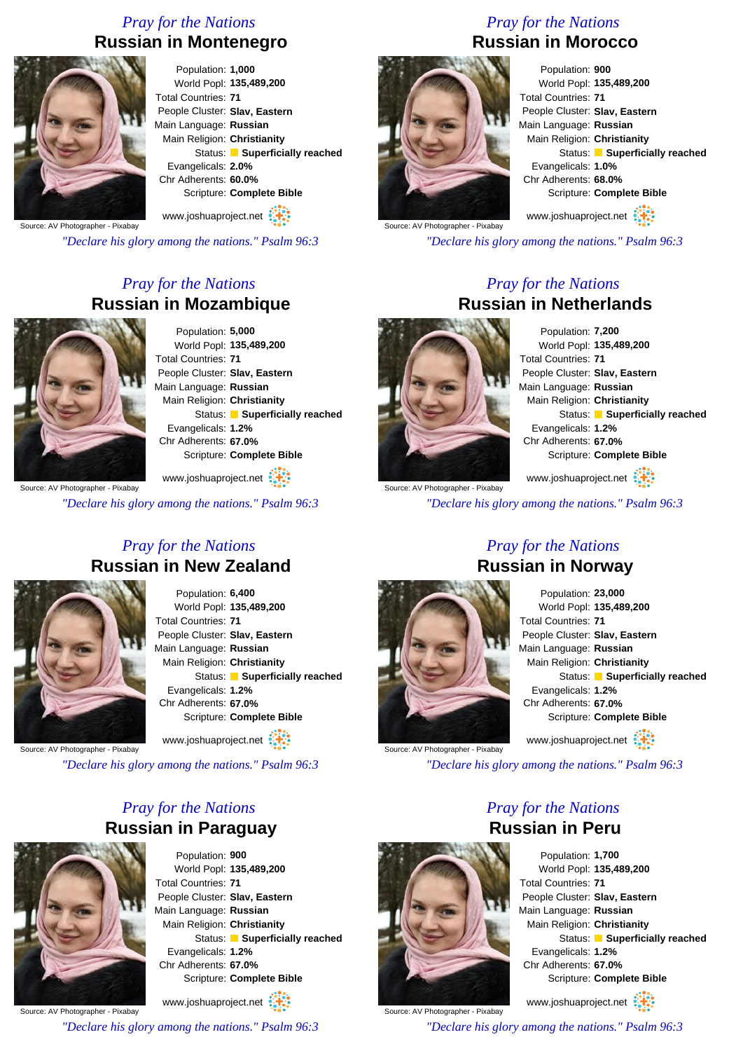#### *Pray for the Nations* **Russian in Montenegro**



Population: **1,000** World Popl: **135,489,200** Total Countries: **71** People Cluster: **Slav, Eastern** Main Language: **Russian** Main Religion: **Christianity** Status: **Superficially reached** Evangelicals: **2.0%** Chr Adherents: **60.0%** Scripture: **Complete Bible**

Source: AV Photographer - Pixabay www.joshuaproject.net

*"Declare his glory among the nations." Psalm 96:3*

#### *Pray for the Nations* **Russian in Mozambique**



Population: **5,000** World Popl: **135,489,200** Total Countries: **71** People Cluster: **Slav, Eastern** Main Language: **Russian** Main Religion: **Christianity** Status: **Superficially reached** Evangelicals: **1.2%** Chr Adherents: **67.0%** Scripture: **Complete Bible** www.joshuaproject.net

Source: AV Photographer - Pixabay

*"Declare his glory among the nations." Psalm 96:3*

### *Pray for the Nations* **Russian in Morocco**



World Popl: **135,489,200** Total Countries: **71** People Cluster: **Slav, Eastern** Main Language: **Russian** Main Religion: **Christianity** Status: **Superficially reached** Evangelicals: **1.0%** Chr Adherents: **68.0%** Scripture: **Complete Bible** www.joshuaproject.net

Source: AV Photographer - Pixabay

*"Declare his glory among the nations." Psalm 96:3*

#### *Pray for the Nations* **Russian in Netherlands**



Source: AV Photographer - Pixabay

Population: **7,200** World Popl: **135,489,200** Total Countries: **71** People Cluster: **Slav, Eastern** Main Language: **Russian** Main Religion: **Christianity** Status: **Superficially reached** Evangelicals: **1.2%** Chr Adherents: **67.0%** Scripture: **Complete Bible** www.joshuaproject.net

*"Declare his glory among the nations." Psalm 96:3*

*Pray for the Nations*

#### *Pray for the Nations* **Russian in New Zealand**



Population: **6,400** World Popl: **135,489,200** Total Countries: **71** People Cluster: **Slav, Eastern** Main Language: **Russian** Main Religion: **Christianity** Status: **Superficially reached** Evangelicals: **1.2%** Chr Adherents: **67.0%** Scripture: **Complete Bible**

www.joshuaproject.net

Source: AV Photographer - Pixabay

*"Declare his glory among the nations." Psalm 96:3*

#### *Pray for the Nations* **Russian in Paraguay**



Population: **900** World Popl: **135,489,200** Total Countries: **71** People Cluster: **Slav, Eastern** Main Language: **Russian** Main Religion: **Christianity** Status: **Superficially reached** Evangelicals: **1.2%** Chr Adherents: **67.0%** Scripture: **Complete Bible** www.joshuaproject.net

Source: AV Photographer - Pixabay

*"Declare his glory among the nations." Psalm 96:3*

## **Russian in Norway** Population: **23,000**

World Popl: **135,489,200** Total Countries: **71** People Cluster: **Slav, Eastern** Main Language: **Russian** Main Religion: **Christianity** Status: **Superficially reached** Evangelicals: **1.2%** Chr Adherents: **67.0%** Scripture: **Complete Bible** www.joshuaproject.net

*"Declare his glory among the nations." Psalm 96:3*

*Pray for the Nations* **Russian in Peru**



Source: AV Photographer - Pixabay

Population: **1,700** World Popl: **135,489,200** Total Countries: **71** People Cluster: **Slav, Eastern** Main Language: **Russian** Main Religion: **Christianity** Status: **Superficially reached** Evangelicals: **1.2%** Chr Adherents: **67.0%** Scripture: **Complete Bible** www.joshuaproject.net

Source: AV Photographer - Pixabay *"Declare his glory among the nations." Psalm 96:3*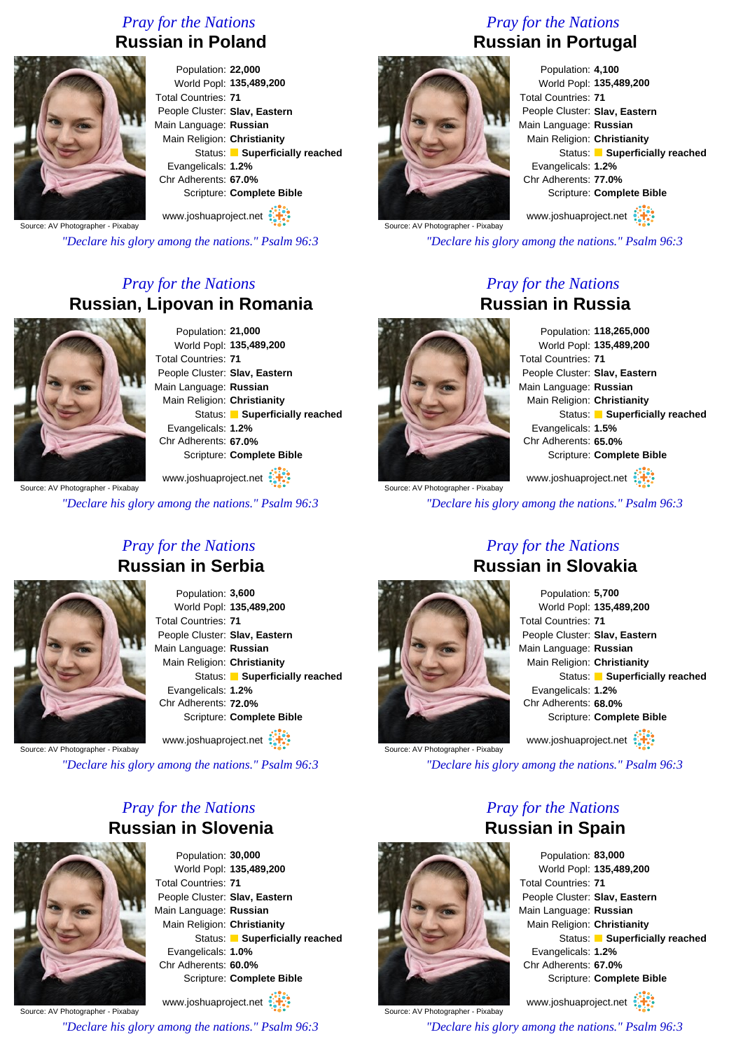#### *Pray for the Nations* **Russian in Poland**



Population: **22,000** World Popl: **135,489,200** Total Countries: **71** People Cluster: **Slav, Eastern** Main Language: **Russian** Main Religion: **Christianity** Status: **Superficially reached** Evangelicals: **1.2%** Chr Adherents: **67.0%** Scripture: **Complete Bible** www.joshuaproject.net

Source: AV Photographer - Pixabay

*"Declare his glory among the nations." Psalm 96:3*

#### *Pray for the Nations* **Russian, Lipovan in Romania**



Population: **21,000** World Popl: **135,489,200** Total Countries: **71** People Cluster: **Slav, Eastern** Main Language: **Russian** Main Religion: **Christianity** Status: **Superficially reached** Evangelicals: **1.2%** Chr Adherents: **67.0%** Scripture: **Complete Bible**

www.joshuaproject.net

*"Declare his glory among the nations." Psalm 96:3*

### *Pray for the Nations* **Russian in Portugal**



Population: **4,100** World Popl: **135,489,200** Total Countries: **71** People Cluster: **Slav, Eastern** Main Language: **Russian** Main Religion: **Christianity** Status: **Superficially reached** Evangelicals: **1.2%** Chr Adherents: **77.0%** Scripture: **Complete Bible**

www.joshuaproject.net

*"Declare his glory among the nations." Psalm 96:3*

*Pray for the Nations*

# **Russian in Russia**

Population: **118,265,000** World Popl: **135,489,200** Total Countries: **71** People Cluster: **Slav, Eastern** Main Language: **Russian** Main Religion: **Christianity** Status: **Superficially reached** Evangelicals: **1.5%** Chr Adherents: **65.0%** Scripture: **Complete Bible** www.joshuaproject.net

Source: AV Photographer - Pixabay

*"Declare his glory among the nations." Psalm 96:3*

*Pray for the Nations* **Russian in Serbia**

> Population: **3,600** World Popl: **135,489,200** Total Countries: **71** People Cluster: **Slav, Eastern** Main Language: **Russian** Main Religion: **Christianity** Status: **Superficially reached** Evangelicals: **1.2%** Chr Adherents: **72.0%** Scripture: **Complete Bible** www.joshuaproject.net

Source: AV Photographer - Pixabay

*"Declare his glory among the nations." Psalm 96:3*

#### *Pray for the Nations* **Russian in Slovenia**



Population: **30,000** World Popl: **135,489,200** Total Countries: **71** People Cluster: **Slav, Eastern** Main Language: **Russian** Main Religion: **Christianity** Status: **Superficially reached** Evangelicals: **1.0%** Chr Adherents: **60.0%** Scripture: **Complete Bible**

Source: AV Photographer - Pixabay www.joshuaproject.net

*"Declare his glory among the nations." Psalm 96:3*

Source: AV Photographer - Pixabay

#### Population: **5,700** World Popl: **135,489,200** Total Countries: **71** People Cluster: **Slav, Eastern** Main Language: **Russian** Main Religion: **Christianity** Status: **Superficially reached** Evangelicals: **1.2%** Chr Adherents: **68.0%** Scripture: **Complete Bible** www.joshuaproject.net

*"Declare his glory among the nations." Psalm 96:3*

#### *Pray for the Nations* **Russian in Spain**



Population: **83,000** World Popl: **135,489,200** Total Countries: **71** People Cluster: **Slav, Eastern** Main Language: **Russian** Main Religion: **Christianity** Status: **Superficially reached** Evangelicals: **1.2%** Chr Adherents: **67.0%** Scripture: **Complete Bible** www.joshuaproject.net

Source: AV Photographer - Pixabay

*"Declare his glory among the nations." Psalm 96:3*

*Pray for the Nations* **Russian in Slovakia**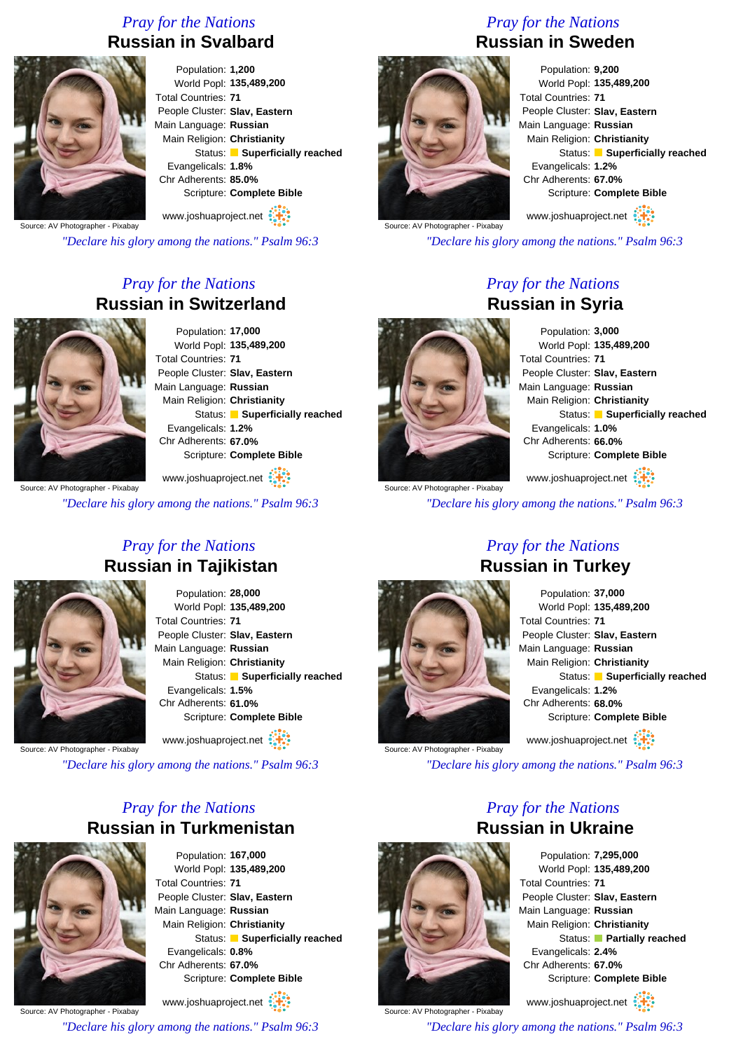#### *Pray for the Nations* **Russian in Svalbard**



Population: **1,200** World Popl: **135,489,200** Total Countries: **71** People Cluster: **Slav, Eastern** Main Language: **Russian** Main Religion: **Christianity** Status: **Superficially reached** Evangelicals: **1.8%** Chr Adherents: **85.0%** Scripture: **Complete Bible**

Source: AV Photographer - Pixabay www.joshuaproject.net

*"Declare his glory among the nations." Psalm 96:3*

#### *Pray for the Nations* **Russian in Switzerland**



Population: **17,000** World Popl: **135,489,200** Total Countries: **71** People Cluster: **Slav, Eastern** Main Language: **Russian** Main Religion: **Christianity** Status: **Superficially reached** Evangelicals: **1.2%** Chr Adherents: **67.0%** Scripture: **Complete Bible**

Source: AV Photographer - Pixabay

*"Declare his glory among the nations." Psalm 96:3*

*Pray for the Nations*

www.joshuaproject.net

### *Pray for the Nations* **Russian in Sweden**



Population: **9,200** World Popl: **135,489,200** Total Countries: **71** People Cluster: **Slav, Eastern** Main Language: **Russian** Main Religion: **Christianity** Status: **Superficially reached** Evangelicals: **1.2%** Chr Adherents: **67.0%** Scripture: **Complete Bible** www.joshuaproject.net

Source: AV Photographer - Pixabay

*"Declare his glory among the nations." Psalm 96:3*

*Pray for the Nations*

# **Russian in Syria**

Population: **3,000** World Popl: **135,489,200** Total Countries: **71** People Cluster: **Slav, Eastern** Main Language: **Russian** Main Religion: **Christianity** Status: **Superficially reached** Evangelicals: **1.0%** Chr Adherents: **66.0%** Scripture: **Complete Bible**

Source: AV Photographer - Pixabay www.joshuaproject.net

*"Declare his glory among the nations." Psalm 96:3*

**Russian in Tajikistan** Population: **28,000** World Popl: **135,489,200** Total Countries: **71** People Cluster: **Slav, Eastern** Main Language: **Russian** Main Religion: **Christianity** Status: **Superficially reached** Evangelicals: **1.5%** Chr Adherents: **61.0%**

Scripture: **Complete Bible**

www.joshuaproject.net

Source: AV Photographer - Pixabay

*"Declare his glory among the nations." Psalm 96:3*

#### *Pray for the Nations* **Russian in Turkmenistan**



Population: **167,000** World Popl: **135,489,200** Total Countries: **71** People Cluster: **Slav, Eastern** Main Language: **Russian** Main Religion: **Christianity** Status: **Superficially reached** Evangelicals: **0.8%** Chr Adherents: **67.0%** Scripture: **Complete Bible**

Source: AV Photographer - Pixabay www.joshuaproject.net

*"Declare his glory among the nations." Psalm 96:3*

# Population: **37,000**

World Popl: **135,489,200** Total Countries: **71** People Cluster: **Slav, Eastern** Main Language: **Russian** Main Religion: **Christianity** Status: **Superficially reached** Evangelicals: **1.2%** Chr Adherents: **68.0%** Scripture: **Complete Bible** www.joshuaproject.net

*"Declare his glory among the nations." Psalm 96:3*



Source: AV Photographer - Pixabay

Source: AV Photographer - Pixabay

*Pray for the Nations* **Russian in Ukraine**

> Population: **7,295,000** World Popl: **135,489,200** Total Countries: **71** People Cluster: **Slav, Eastern** Main Language: **Russian** Main Religion: **Christianity** Status: **Partially reached** Evangelicals: **2.4%** Chr Adherents: **67.0%** Scripture: **Complete Bible**

www.joshuaproject.net

*"Declare his glory among the nations." Psalm 96:3*

*Pray for the Nations* **Russian in Turkey**